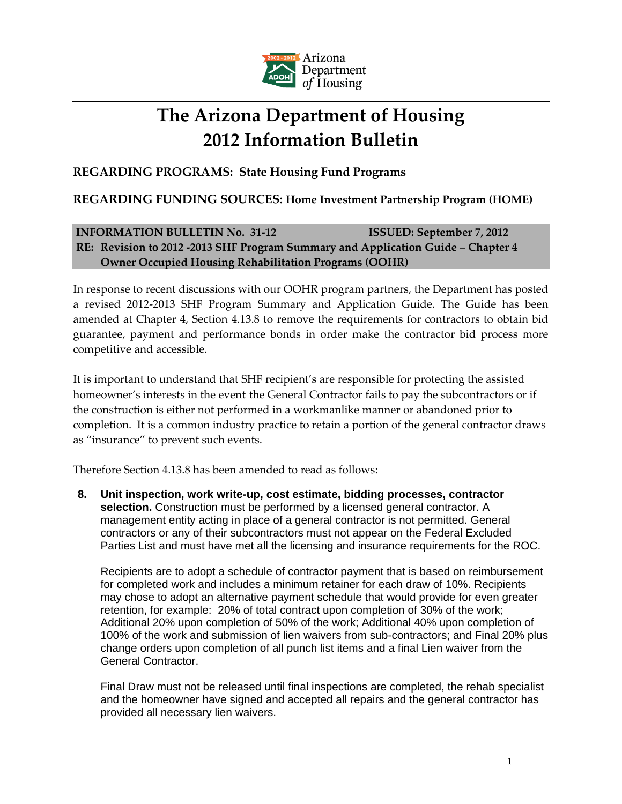

## **The Arizona Department of Housing 2012 Information Bulletin**

**REGARDING PROGRAMS: State Housing Fund Programs**

## **REGARDING FUNDING SOURCES: Home Investment Partnership Program (HOME)**

## **INFORMATION BULLETIN No. 31‐12 ISSUED: September 7, 2012 RE: Revision to 2012 ‐2013 SHF Program Summary and Application Guide – Chapter 4 Owner Occupied Housing Rehabilitation Programs (OOHR)**

In response to recent discussions with our OOHR program partners, the Department has posted a revised 2012‐2013 SHF Program Summary and Application Guide. The Guide has been amended at Chapter 4, Section 4.13.8 to remove the requirements for contractors to obtain bid guarantee, payment and performance bonds in order make the contractor bid process more competitive and accessible.

It is important to understand that SHF recipient's are responsible for protecting the assisted homeowner's interests in the event the General Contractor fails to pay the subcontractors or if the construction is either not performed in a workmanlike manner or abandoned prior to completion. It is a common industry practice to retain a portion of the general contractor draws as "insurance" to prevent such events.

Therefore Section 4.13.8 has been amended to read as follows:

**8. Unit inspection, work write-up, cost estimate, bidding processes, contractor selection.** Construction must be performed by a licensed general contractor. A management entity acting in place of a general contractor is not permitted. General contractors or any of their subcontractors must not appear on the Federal Excluded Parties List and must have met all the licensing and insurance requirements for the ROC.

 Recipients are to adopt a schedule of contractor payment that is based on reimbursement for completed work and includes a minimum retainer for each draw of 10%. Recipients may chose to adopt an alternative payment schedule that would provide for even greater retention, for example: 20% of total contract upon completion of 30% of the work; Additional 20% upon completion of 50% of the work; Additional 40% upon completion of 100% of the work and submission of lien waivers from sub-contractors; and Final 20% plus change orders upon completion of all punch list items and a final Lien waiver from the General Contractor.

 Final Draw must not be released until final inspections are completed, the rehab specialist and the homeowner have signed and accepted all repairs and the general contractor has provided all necessary lien waivers.